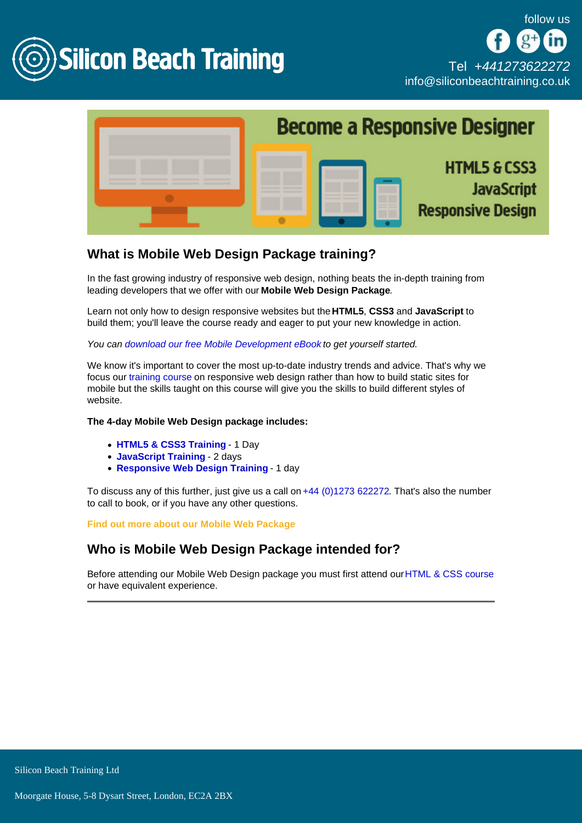

# What is Mobile Web Design Package training?

In the fast growing industry of responsive web design, nothing beats the in-depth training from leading developers that we offer with our Mobile Web Design Package .

Learn not only how to design responsive websites but the HTML5, CSS3 and JavaScript to build them; you'll leave the course ready and eager to put your new knowledge in action.

You can [download our free Mobile Development eBook](/resources/developing-your-mobile-strategy) to get yourself started.

We know it's important to cover the most up-to-date industry trends and advice. That's why we focus our [training course](/mobile-development-training) on responsive web design rather than how to build static sites for mobile but the skills taught on this course will give you the skills to build different styles of website.

The 4-day Mobile Web Design package includes:

- [HTML5 & CSS3 Training -](/web-design-training/html5-css3-training) 1 Day
- [JavaScript Training](/programming-training/javascript-training)  2 days
- [Responsive Web Design Training](/mobile-development-training/responsive-web-design-training)  1 day

To discuss any of this further, just give us a call on [+44 \(0\)1273 622272.](tel:441273622272) That's also the number to call to book, or if you have any other questions.

Find out more about our Mobile Web Package

Who is Mobile Web Design Package intended for?

Before attending our Mobile Web Design package you must first attend our [HTML & CSS course](/web-design-training/html5-css3-training) or have equivalent experience.

Silicon Beach Training Ltd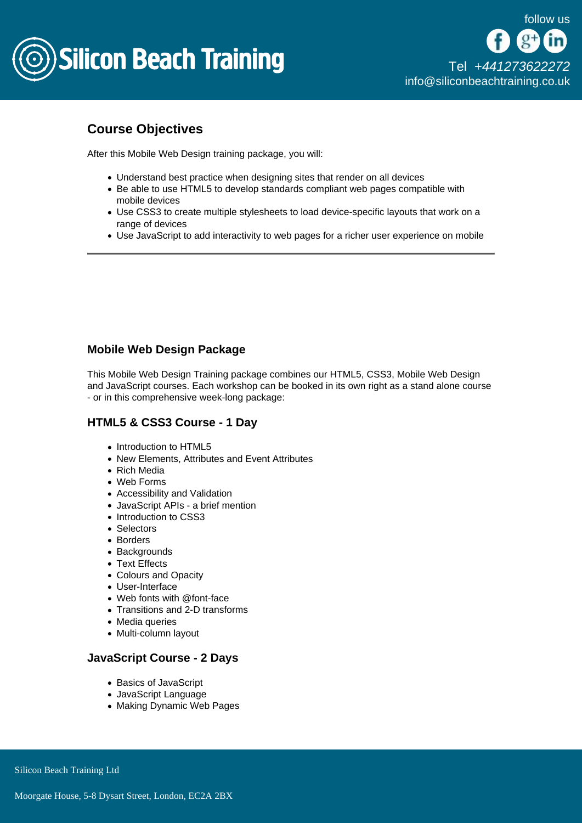

## Course Objectives

After this Mobile Web Design training package, you will:

- Understand best practice when designing sites that render on all devices
- Be able to use HTML5 to develop standards compliant web pages compatible with mobile devices
- Use CSS3 to create multiple stylesheets to load device-specific layouts that work on a range of devices
- Use JavaScript to add interactivity to web pages for a richer user experience on mobile

## Mobile Web Design Package

This Mobile Web Design Training package combines our HTML5, CSS3, Mobile Web Design and JavaScript courses. Each workshop can be booked in its own right as a stand alone course - or in this comprehensive week-long package:

### HTML5 & CSS3 Course - 1 Day

- Introduction to HTML5
- New Elements, Attributes and Event Attributes
- Rich Media
- Web Forms
- Accessibility and Validation
- JavaScript APIs a brief mention
- Introduction to CSS3
- Selectors
- Borders
- Backgrounds
- Text Effects
- Colours and Opacity
- User-Interface
- Web fonts with @font-face
- Transitions and 2-D transforms
- Media queries
- Multi-column layout

### JavaScript Course - 2 Days

- Basics of JavaScript
- JavaScript Language
- Making Dynamic Web Pages

Silicon Beach Training Ltd